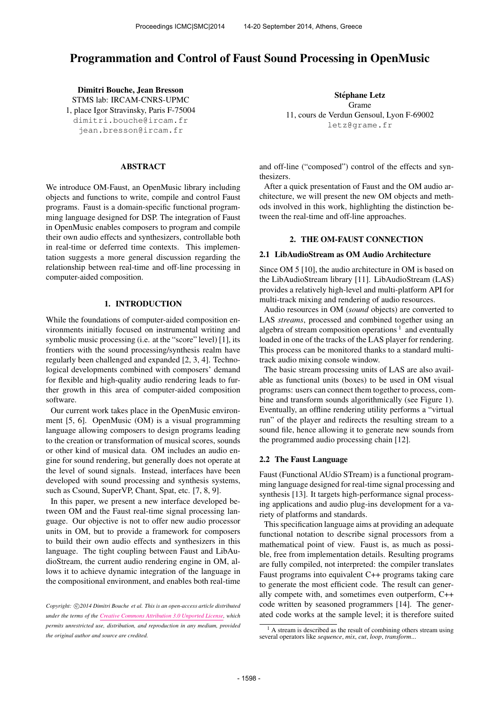# Programmation and Control of Faust Sound Processing in OpenMusic

Dimitri Bouche, Jean Bresson STMS lab: IRCAM-CNRS-UPMC 1, place Igor Stravinsky, Paris F-75004 [dimitri.bouche@ircam.fr](mailto:dimitri.bouche@ircam.fr) [jean.bresson@ircam.fr](mailto:jean.bresson@ircam.fr)

#### ABSTRACT

We introduce OM-Faust, an OpenMusic library including objects and functions to write, compile and control Faust programs. Faust is a domain-specific functional programming language designed for DSP. The integration of Faust in OpenMusic enables composers to program and compile their own audio effects and synthesizers, controllable both in real-time or deferred time contexts. This implementation suggests a more general discussion regarding the relationship between real-time and off-line processing in computer-aided composition.

### 1. INTRODUCTION

While the foundations of computer-aided composition environments initially focused on instrumental writing and symbolic music processing (i.e. at the "score" level) [1], its frontiers with the sound processing/synthesis realm have regularly been challenged and expanded [2, 3, 4]. Technological developments combined with composers' demand for flexible and high-quality audio rendering leads to further growth in this area of computer-aided composition software.

Our current work takes place in the OpenMusic environment [5, 6]. OpenMusic (OM) is a visual programming language allowing composers to design programs leading to the creation or transformation of musical scores, sounds or other kind of musical data. OM includes an audio engine for sound rendering, but generally does not operate at the level of sound signals. Instead, interfaces have been developed with sound processing and synthesis systems, such as Csound, SuperVP, Chant, Spat, etc. [7, 8, 9].

In this paper, we present a new interface developed between OM and the Faust real-time signal processing language. Our objective is not to offer new audio processor units in OM, but to provide a framework for composers to build their own audio effects and synthesizers in this language. The tight coupling between Faust and LibAudioStream, the current audio rendering engine in OM, allows it to achieve dynamic integration of the language in the compositional environment, and enables both real-time

Stéphane Letz Grame 11, cours de Verdun Gensoul, Lyon F-69002 [letz@grame.fr](mailto:letz@grame.fr)

and off-line ("composed") control of the effects and synthesizers.

After a quick presentation of Faust and the OM audio architecture, we will present the new OM objects and methods involved in this work, highlighting the distinction between the real-time and off-line approaches.

#### 2. THE OM-FAUST CONNECTION

### 2.1 LibAudioStream as OM Audio Architecture

Since OM 5 [10], the audio architecture in OM is based on the LibAudioStream library [11]. LibAudioStream (LAS) provides a relatively high-level and multi-platform API for multi-track mixing and rendering of audio resources.

Audio resources in OM (*sound* objects) are converted to LAS *streams*, processed and combined together using an algebra of stream composition operations<sup>1</sup> and eventually loaded in one of the tracks of the LAS player for rendering. This process can be monitored thanks to a standard multitrack audio mixing console window.

The basic stream processing units of LAS are also available as functional units (boxes) to be used in OM visual programs: users can connect them together to process, combine and transform sounds algorithmically (see Figure 1). Eventually, an offline rendering utility performs a "virtual run" of the player and redirects the resulting stream to a sound file, hence allowing it to generate new sounds from the programmed audio processing chain [12].

#### 2.2 The Faust Language

Faust (Functional AUdio STream) is a functional programming language designed for real-time signal processing and synthesis [13]. It targets high-performance signal processing applications and audio plug-ins development for a variety of platforms and standards.

This specification language aims at providing an adequate functional notation to describe signal processors from a mathematical point of view. Faust is, as much as possible, free from implementation details. Resulting programs are fully compiled, not interpreted: the compiler translates Faust programs into equivalent C++ programs taking care to generate the most efficient code. The result can generally compete with, and sometimes even outperform, C++ code written by seasoned programmers [14]. The generated code works at the sample level; it is therefore suited

Copyright:  $\bigcirc$ 2014 Dimitri Bouche et al. This is an open-access article distributed *under the terms of the [Creative Commons Attribution 3.0 Unported License,](http://creativecommons.org/licenses/by/3.0/) which permits unrestricted use, distribution, and reproduction in any medium, provided the original author and source are credited.*

 $<sup>1</sup>$  A stream is described as the result of combining others stream using</sup> several operators like *sequence*, *mix*, *cut*, *loop*, *transform*...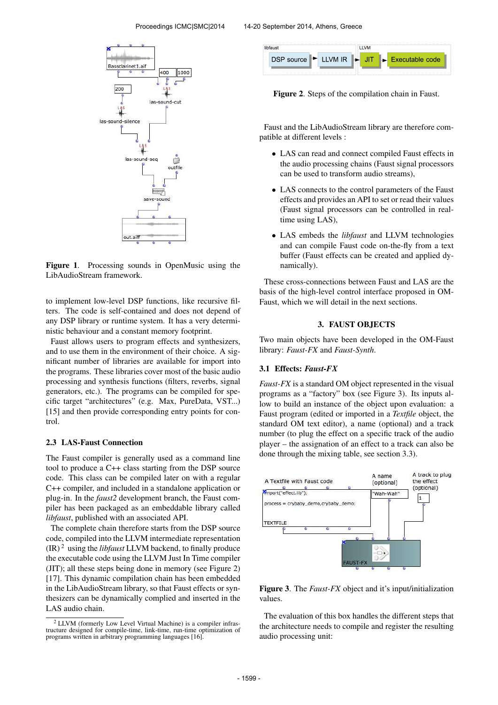

Figure 1. Processing sounds in OpenMusic using the LibAudioStream framework.

to implement low-level DSP functions, like recursive filters. The code is self-contained and does not depend of any DSP library or runtime system. It has a very deterministic behaviour and a constant memory footprint.

Faust allows users to program effects and synthesizers, and to use them in the environment of their choice. A significant number of libraries are available for import into the programs. These libraries cover most of the basic audio processing and synthesis functions (filters, reverbs, signal generators, etc.). The programs can be compiled for specific target "architectures" (e.g. Max, PureData, VST...) [15] and then provide corresponding entry points for control.

#### 2.3 LAS-Faust Connection

The Faust compiler is generally used as a command line tool to produce a C++ class starting from the DSP source code. This class can be compiled later on with a regular C++ compiler, and included in a standalone application or plug-in. In the *faust2* development branch, the Faust compiler has been packaged as an embeddable library called *libfaust*, published with an associated API.

The complete chain therefore starts from the DSP source code, compiled into the LLVM intermediate representation  $(IR)^2$  using the *libfaust* LLVM backend, to finally produce the executable code using the LLVM Just In Time compiler (JIT); all these steps being done in memory (see Figure 2) [17]. This dynamic compilation chain has been embedded in the LibAudioStream library, so that Faust effects or synthesizers can be dynamically complied and inserted in the LAS audio chain.



Figure 2. Steps of the compilation chain in Faust.

Faust and the LibAudioStream library are therefore compatible at different levels :

- LAS can read and connect compiled Faust effects in the audio processing chains (Faust signal processors can be used to transform audio streams),
- LAS connects to the control parameters of the Faust effects and provides an API to set or read their values (Faust signal processors can be controlled in realtime using LAS),
- LAS embeds the *libfaust* and LLVM technologies and can compile Faust code on-the-fly from a text buffer (Faust effects can be created and applied dynamically).

These cross-connections between Faust and LAS are the basis of the high-level control interface proposed in OM-Faust, which we will detail in the next sections.

### 3. FAUST OBJECTS

Two main objects have been developed in the OM-Faust library: *Faust-FX* and *Faust-Synth*.

### 3.1 Effects: *Faust-FX*

*Faust-FX* is a standard OM object represented in the visual programs as a "factory" box (see Figure 3). Its inputs allow to build an instance of the object upon evaluation: a Faust program (edited or imported in a *Textfile* object, the standard OM text editor), a name (optional) and a track number (to plug the effect on a specific track of the audio player – the assignation of an effect to a track can also be done through the mixing table, see section 3.3).



Figure 3. The *Faust-FX* object and it's input/initialization values.

The evaluation of this box handles the different steps that the architecture needs to compile and register the resulting audio processing unit:

<sup>2</sup> LLVM (formerly Low Level Virtual Machine) is a compiler infrastructure designed for compile-time, link-time, run-time optimization of programs written in arbitrary programming languages [16].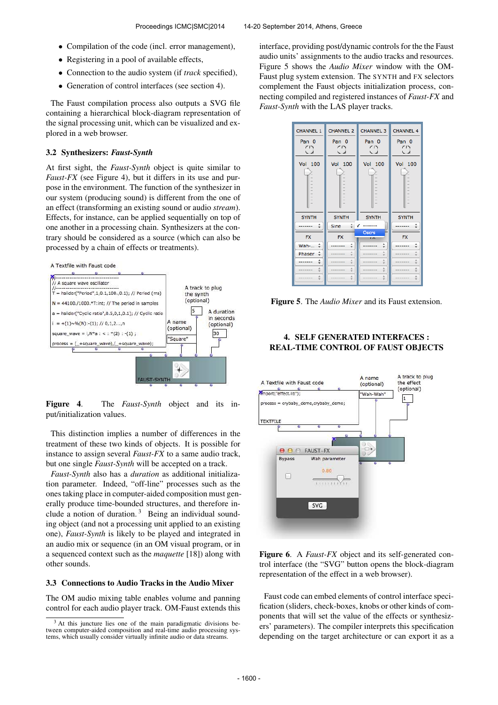- Compilation of the code (incl. error management),
- Registering in a pool of available effects,
- Connection to the audio system (if *track* specified),
- Generation of control interfaces (see section 4).

The Faust compilation process also outputs a SVG file containing a hierarchical block-diagram representation of the signal processing unit, which can be visualized and explored in a web browser.

#### 3.2 Synthesizers: *Faust-Synth*

At first sight, the *Faust-Synth* object is quite similar to *Faust-FX* (see Figure 4), but it differs in its use and purpose in the environment. The function of the synthesizer in our system (producing sound) is different from the one of an effect (transforming an existing sound or audio *stream*). Effects, for instance, can be applied sequentially on top of one another in a processing chain. Synthesizers at the contrary should be considered as a source (which can also be processed by a chain of effects or treatments).





Figure 4. The *Faust-Synth* object and its input/initialization values.

This distinction implies a number of differences in the treatment of these two kinds of objects. It is possible for instance to assign several *Faust-FX* to a same audio track, but one single *Faust-Synth* will be accepted on a track.

*Faust-Synth* also has a *duration* as additional initialization parameter. Indeed, "off-line" processes such as the ones taking place in computer-aided composition must generally produce time-bounded structures, and therefore include a notion of duration.<sup>3</sup> Being an individual sounding object (and not a processing unit applied to an existing one), *Faust-Synth* is likely to be played and integrated in an audio mix or sequence (in an OM visual program, or in a sequenced context such as the *maquette* [18]) along with other sounds.

### 3.3 Connections to Audio Tracks in the Audio Mixer

The OM audio mixing table enables volume and panning control for each audio player track. OM-Faust extends this interface, providing post/dynamic controls for the the Faust audio units' assignments to the audio tracks and resources. Figure 5 shows the *Audio Mixer* window with the OM-Faust plug system extension. The SYNTH and FX selectors complement the Faust objects initialization process, connecting compiled and registered instances of *Faust-FX* and *Faust-Synth* with the LAS player tracks.



Figure 5. The *Audio Mixer* and its Faust extension.

# 4. SELF GENERATED INTERFACES : REAL-TIME CONTROL OF FAUST OBJECTS



Figure 6. A *Faust-FX* object and its self-generated control interface (the "SVG" button opens the block-diagram representation of the effect in a web browser).

Faust code can embed elements of control interface specification (sliders, check-boxes, knobs or other kinds of components that will set the value of the effects or synthesizers' parameters). The compiler interprets this specification depending on the target architecture or can export it as a

<sup>&</sup>lt;sup>3</sup> At this juncture lies one of the main paradigmatic divisions be-<br>tween computer-aided composition and real-time audio processing systems, which usually consider virtually infinite audio or data streams.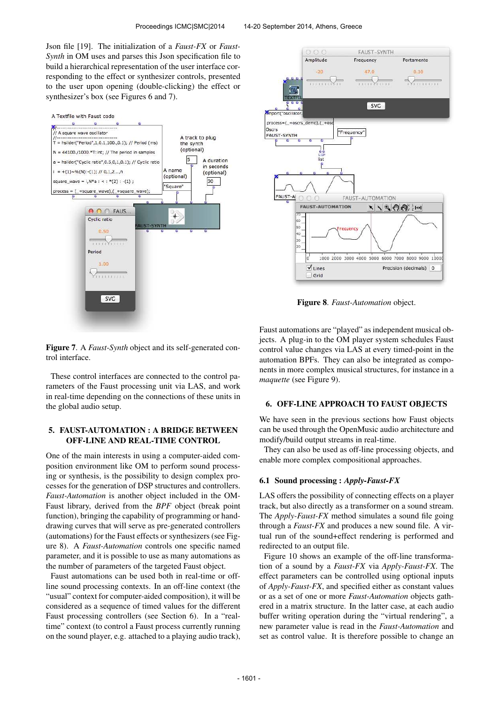Json file [19]. The initialization of a *Faust-FX* or *Faust-Synth* in OM uses and parses this Json specification file to build a hierarchical representation of the user interface corresponding to the effect or synthesizer controls, presented to the user upon opening (double-clicking) the effect or synthesizer's box (see Figures 6 and 7).





Figure 8. *Faust-Automation* object.

Figure 7. A *Faust-Synth* object and its self-generated control interface.

These control interfaces are connected to the control parameters of the Faust processing unit via LAS, and work in real-time depending on the connections of these units in the global audio setup.

### 5. FAUST-AUTOMATION : A BRIDGE BETWEEN OFF-LINE AND REAL-TIME CONTROL

One of the main interests in using a computer-aided composition environment like OM to perform sound processing or synthesis, is the possibility to design complex processes for the generation of DSP structures and controllers. *Faust-Automation* is another object included in the OM-Faust library, derived from the *BPF* object (break point function), bringing the capability of programming or handdrawing curves that will serve as pre-generated controllers (automations) for the Faust effects or synthesizers (see Figure 8). A *Faust-Automation* controls one specific named parameter, and it is possible to use as many automations as the number of parameters of the targeted Faust object.

Faust automations can be used both in real-time or offline sound processing contexts. In an off-line context (the "usual" context for computer-aided composition), it will be considered as a sequence of timed values for the different Faust processing controllers (see Section 6). In a "realtime" context (to control a Faust process currently running on the sound player, e.g. attached to a playing audio track), Faust automations are "played" as independent musical objects. A plug-in to the OM player system schedules Faust control value changes via LAS at every timed-point in the automation BPFs. They can also be integrated as components in more complex musical structures, for instance in a *maquette* (see Figure 9).

#### 6. OFF-LINE APPROACH TO FAUST OBJECTS

We have seen in the previous sections how Faust objects can be used through the OpenMusic audio architecture and modify/build output streams in real-time.

They can also be used as off-line processing objects, and enable more complex compositional approaches.

#### 6.1 Sound processing : *Apply-Faust-FX*

LAS offers the possibility of connecting effects on a player track, but also directly as a transformer on a sound stream. The *Apply-Faust-FX* method simulates a sound file going through a *Faust-FX* and produces a new sound file. A virtual run of the sound+effect rendering is performed and redirected to an output file.

Figure 10 shows an example of the off-line transformation of a sound by a *Faust-FX* via *Apply-Faust-FX*. The effect parameters can be controlled using optional inputs of *Apply-Faust-FX*, and specified either as constant values or as a set of one or more *Faust-Automation* objects gathered in a matrix structure. In the latter case, at each audio buffer writing operation during the "virtual rendering", a new parameter value is read in the *Faust-Automation* and set as control value. It is therefore possible to change an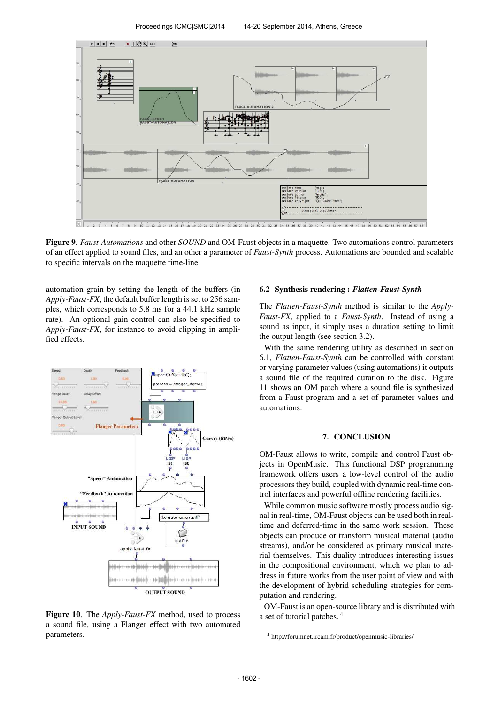

Figure 9. *Faust-Automations* and other *SOUND* and OM-Faust objects in a maquette. Two automations control parameters of an effect applied to sound files, and an other a parameter of *Faust-Synth* process. Automations are bounded and scalable to specific intervals on the maquette time-line.

automation grain by setting the length of the buffers (in *Apply-Faust-FX*, the default buffer length is set to 256 samples, which corresponds to 5.8 ms for a 44.1 kHz sample rate). An optional gain control can also be specified to *Apply-Faust-FX*, for instance to avoid clipping in amplified effects.



Figure 10. The *Apply-Faust-FX* method, used to process a sound file, using a Flanger effect with two automated parameters.

## 6.2 Synthesis rendering : *Flatten-Faust-Synth*

The *Flatten-Faust-Synth* method is similar to the *Apply-Faust-FX*, applied to a *Faust-Synth*. Instead of using a sound as input, it simply uses a duration setting to limit the output length (see section 3.2).

With the same rendering utility as described in section 6.1, *Flatten-Faust-Synth* can be controlled with constant or varying parameter values (using automations) it outputs a sound file of the required duration to the disk. Figure 11 shows an OM patch where a sound file is synthesized from a Faust program and a set of parameter values and automations.

### 7. CONCLUSION

OM-Faust allows to write, compile and control Faust objects in OpenMusic. This functional DSP programming framework offers users a low-level control of the audio processors they build, coupled with dynamic real-time control interfaces and powerful offline rendering facilities.

While common music software mostly process audio signal in real-time, OM-Faust objects can be used both in realtime and deferred-time in the same work session. These objects can produce or transform musical material (audio streams), and/or be considered as primary musical material themselves. This duality introduces interesting issues in the compositional environment, which we plan to address in future works from the user point of view and with the development of hybrid scheduling strategies for computation and rendering.

OM-Faust is an open-source library and is distributed with a set of tutorial patches. <sup>4</sup>

<sup>4</sup> http://forumnet.ircam.fr/product/openmusic-libraries/